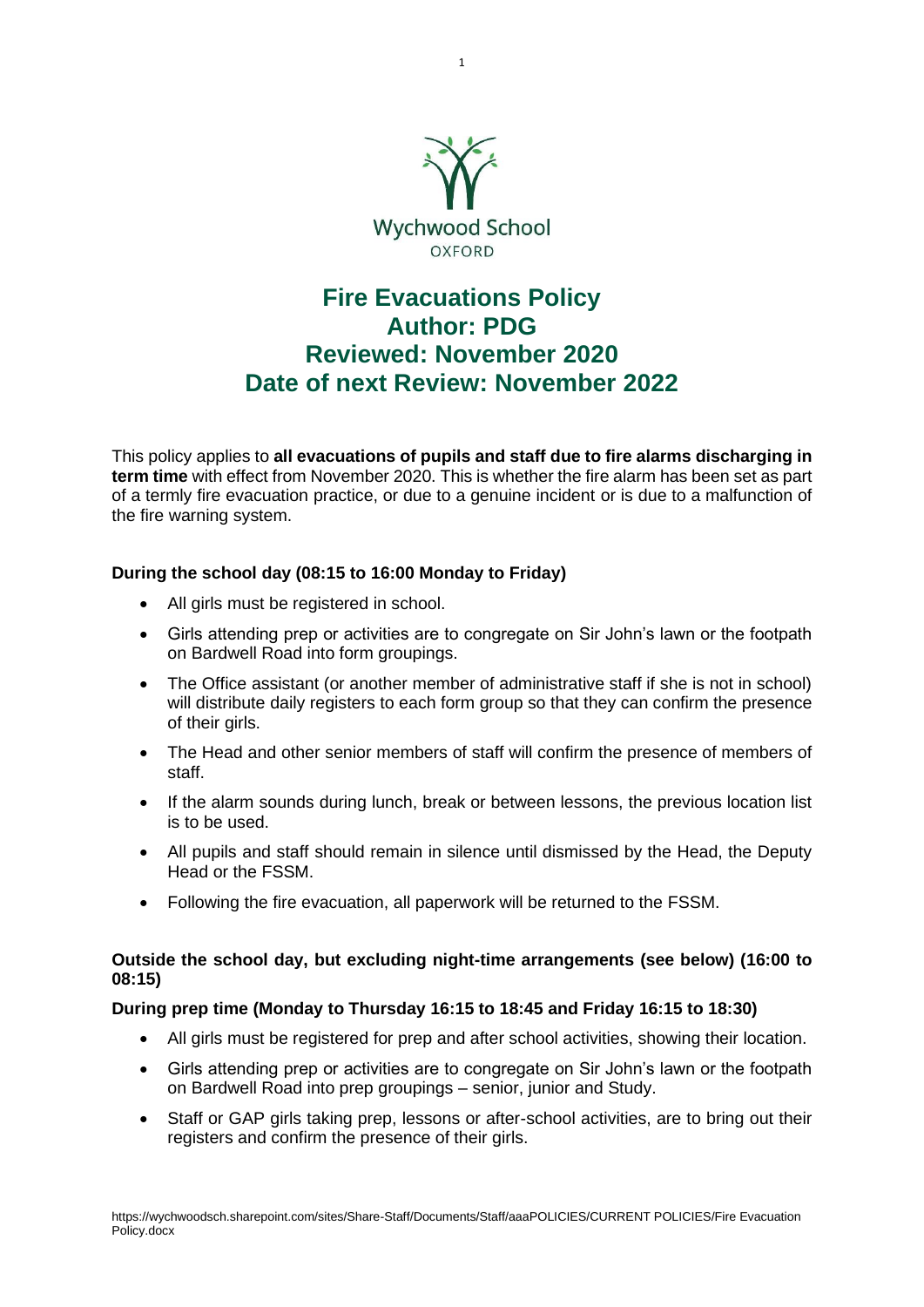

# **Fire Evacuations Policy Author: PDG Reviewed: November 2020 Date of next Review: November 2022**

This policy applies to **all evacuations of pupils and staff due to fire alarms discharging in term time** with effect from November 2020. This is whether the fire alarm has been set as part of a termly fire evacuation practice, or due to a genuine incident or is due to a malfunction of the fire warning system.

# **During the school day (08:15 to 16:00 Monday to Friday)**

- All girls must be registered in school.
- Girls attending prep or activities are to congregate on Sir John's lawn or the footpath on Bardwell Road into form groupings.
- The Office assistant (or another member of administrative staff if she is not in school) will distribute daily registers to each form group so that they can confirm the presence of their girls.
- The Head and other senior members of staff will confirm the presence of members of staff.
- If the alarm sounds during lunch, break or between lessons, the previous location list is to be used.
- All pupils and staff should remain in silence until dismissed by the Head, the Deputy Head or the FSSM.
- Following the fire evacuation, all paperwork will be returned to the FSSM.

## **Outside the school day, but excluding night-time arrangements (see below) (16:00 to 08:15)**

### **During prep time (Monday to Thursday 16:15 to 18:45 and Friday 16:15 to 18:30)**

- All girls must be registered for prep and after school activities, showing their location.
- Girls attending prep or activities are to congregate on Sir John's lawn or the footpath on Bardwell Road into prep groupings – senior, junior and Study.
- Staff or GAP girls taking prep, lessons or after-school activities, are to bring out their registers and confirm the presence of their girls.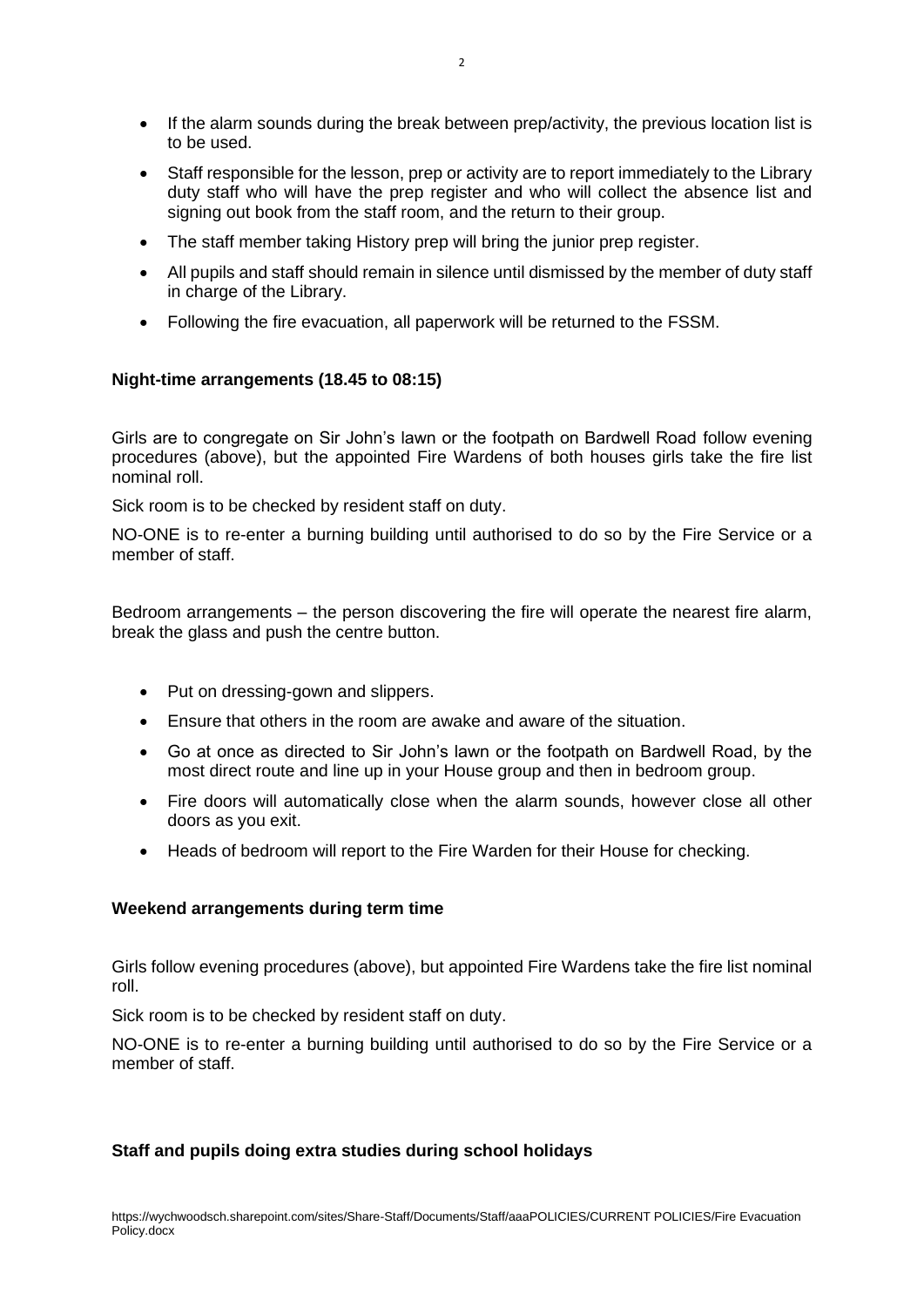- If the alarm sounds during the break between prep/activity, the previous location list is to be used.
- Staff responsible for the lesson, prep or activity are to report immediately to the Library duty staff who will have the prep register and who will collect the absence list and signing out book from the staff room, and the return to their group.
- The staff member taking History prep will bring the junior prep register.
- All pupils and staff should remain in silence until dismissed by the member of duty staff in charge of the Library.
- Following the fire evacuation, all paperwork will be returned to the FSSM.

## **Night-time arrangements (18.45 to 08:15)**

Girls are to congregate on Sir John's lawn or the footpath on Bardwell Road follow evening procedures (above), but the appointed Fire Wardens of both houses girls take the fire list nominal roll.

Sick room is to be checked by resident staff on duty.

NO-ONE is to re-enter a burning building until authorised to do so by the Fire Service or a member of staff.

Bedroom arrangements – the person discovering the fire will operate the nearest fire alarm, break the glass and push the centre button.

- Put on dressing-gown and slippers.
- Ensure that others in the room are awake and aware of the situation.
- Go at once as directed to Sir John's lawn or the footpath on Bardwell Road, by the most direct route and line up in your House group and then in bedroom group.
- Fire doors will automatically close when the alarm sounds, however close all other doors as you exit.
- Heads of bedroom will report to the Fire Warden for their House for checking.

### **Weekend arrangements during term time**

Girls follow evening procedures (above), but appointed Fire Wardens take the fire list nominal roll.

Sick room is to be checked by resident staff on duty.

NO-ONE is to re-enter a burning building until authorised to do so by the Fire Service or a member of staff.

# **Staff and pupils doing extra studies during school holidays**